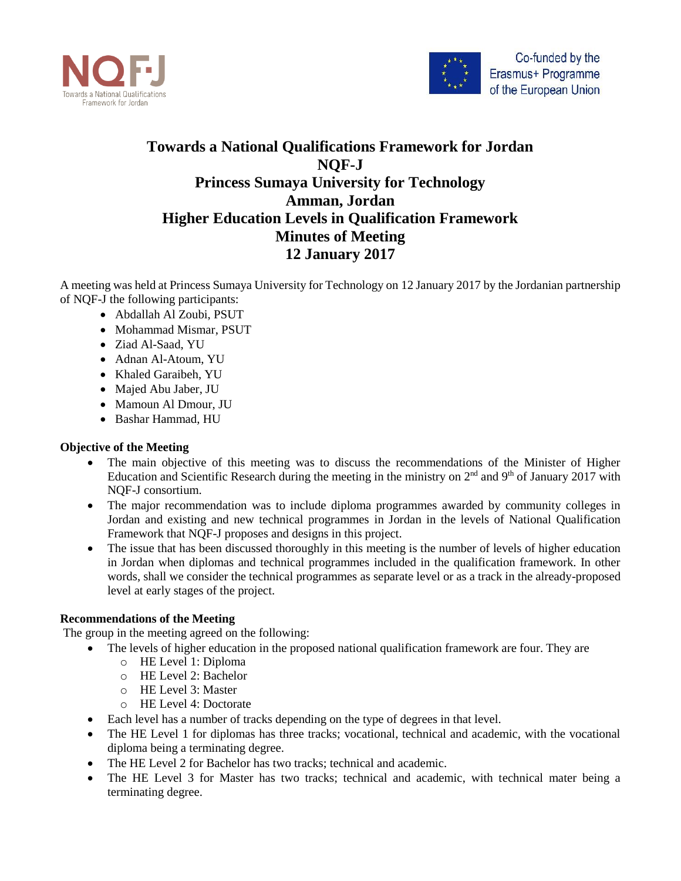



## **Towards a National Qualifications Framework for Jordan NQF-J Princess Sumaya University for Technology Amman, Jordan Higher Education Levels in Qualification Framework Minutes of Meeting 12 January 2017**

A meeting was held at Princess Sumaya University for Technology on 12 January 2017 by the Jordanian partnership of NQF-J the following participants:

- Abdallah Al Zoubi, PSUT
- Mohammad Mismar, PSUT
- Ziad Al-Saad, YU
- Adnan Al-Atoum, YU
- Khaled Garaibeh, YU
- Majed Abu Jaber, JU
- Mamoun Al Dmour, JU
- Bashar Hammad, HU

## **Objective of the Meeting**

- The main objective of this meeting was to discuss the recommendations of the Minister of Higher Education and Scientific Research during the meeting in the ministry on  $2<sup>nd</sup>$  and  $9<sup>th</sup>$  of January 2017 with NQF-J consortium.
- The major recommendation was to include diploma programmes awarded by community colleges in Jordan and existing and new technical programmes in Jordan in the levels of National Qualification Framework that NQF-J proposes and designs in this project.
- The issue that has been discussed thoroughly in this meeting is the number of levels of higher education in Jordan when diplomas and technical programmes included in the qualification framework. In other words, shall we consider the technical programmes as separate level or as a track in the already-proposed level at early stages of the project.

## **Recommendations of the Meeting**

The group in the meeting agreed on the following:

- The levels of higher education in the proposed national qualification framework are four. They are
	- o HE Level 1: Diploma
	- o HE Level 2: Bachelor
	- o HE Level 3: Master
	- o HE Level 4: Doctorate
- Each level has a number of tracks depending on the type of degrees in that level.
- The HE Level 1 for diplomas has three tracks; vocational, technical and academic, with the vocational diploma being a terminating degree.
- The HE Level 2 for Bachelor has two tracks; technical and academic.
- The HE Level 3 for Master has two tracks; technical and academic, with technical mater being a terminating degree.